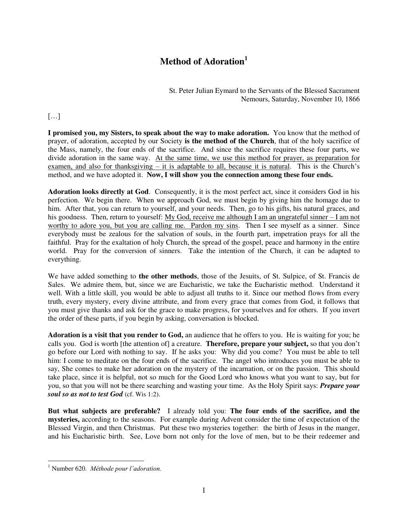## **Method of Adoration<sup>1</sup>**

St. Peter Julian Eymard to the Servants of the Blessed Sacrament Nemours, Saturday, November 10, 1866

## […]

**I promised you, my Sisters, to speak about the way to make adoration.** You know that the method of prayer, of adoration, accepted by our Society **is the method of the Church**, that of the holy sacrifice of the Mass, namely, the four ends of the sacrifice. And since the sacrifice requires these four parts, we divide adoration in the same way. At the same time, we use this method for prayer, as preparation for examen, and also for thanksgiving – it is adaptable to all, because it is natural. This is the Church's method, and we have adopted it. **Now, I will show you the connection among these four ends.** 

**Adoration looks directly at God**. Consequently, it is the most perfect act, since it considers God in his perfection. We begin there. When we approach God, we must begin by giving him the homage due to him. After that, you can return to yourself, and your needs. Then, go to his gifts, his natural graces, and his goodness. Then, return to yourself: My God, receive me although I am an ungrateful sinner – I am not worthy to adore you, but you are calling me. Pardon my sins. Then I see myself as a sinner. Since everybody must be zealous for the salvation of souls, in the fourth part, impetration prays for all the faithful. Pray for the exaltation of holy Church, the spread of the gospel, peace and harmony in the entire world. Pray for the conversion of sinners. Take the intention of the Church, it can be adapted to everything.

We have added something to **the other methods**, those of the Jesuits, of St. Sulpice, of St. Francis de Sales. We admire them, but, since we are Eucharistic, we take the Eucharistic method. Understand it well. With a little skill, you would be able to adjust all truths to it. Since our method flows from every truth, every mystery, every divine attribute, and from every grace that comes from God, it follows that you must give thanks and ask for the grace to make progress, for yourselves and for others. If you invert the order of these parts, if you begin by asking, conversation is blocked.

**Adoration is a visit that you render to God,** an audience that he offers to you. He is waiting for you; he calls you. God is worth [the attention of] a creature. **Therefore, prepare your subject,** so that you don't go before our Lord with nothing to say. If he asks you: Why did you come? You must be able to tell him: I come to meditate on the four ends of the sacrifice. The angel who introduces you must be able to say, She comes to make her adoration on the mystery of the incarnation, or on the passion. This should take place, since it is helpful, not so much for the Good Lord who knows what you want to say, but for you, so that you will not be there searching and wasting your time. As the Holy Spirit says: *Prepare your soul so as not to test God* (cf. Wis 1:2).

**But what subjects are preferable?** I already told you: **The four ends of the sacrifice, and the mysteries,** according to the seasons. For example during Advent consider the time of expectation of the Blessed Virgin, and then Christmas. Put these two mysteries together: the birth of Jesus in the manger, and his Eucharistic birth. See, Love born not only for the love of men, but to be their redeemer and

 1 Number 620. *Méthode pour l'adoration.*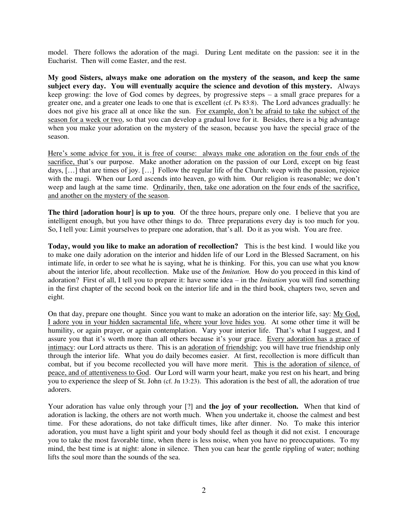model. There follows the adoration of the magi. During Lent meditate on the passion: see it in the Eucharist. Then will come Easter, and the rest.

**My good Sisters, always make one adoration on the mystery of the season, and keep the same subject every day. You will eventually acquire the science and devotion of this mystery.** Always keep growing: the love of God comes by degrees, by progressive steps – a small grace prepares for a greater one, and a greater one leads to one that is excellent (cf. Ps 83:8). The Lord advances gradually: he does not give his grace all at once like the sun. For example, don't be afraid to take the subject of the season for a week or two, so that you can develop a gradual love for it. Besides, there is a big advantage when you make your adoration on the mystery of the season, because you have the special grace of the season.

Here's some advice for you, it is free of course: always make one adoration on the four ends of the sacrifice, that's our purpose. Make another adoration on the passion of our Lord, except on big feast days, […] that are times of joy. […] Follow the regular life of the Church: weep with the passion, rejoice with the magi. When our Lord ascends into heaven, go with him. Our religion is reasonable; we don't weep and laugh at the same time. Ordinarily, then, take one adoration on the four ends of the sacrifice, and another on the mystery of the season.

**The third [adoration hour] is up to you**. Of the three hours, prepare only one. I believe that you are intelligent enough, but you have other things to do. Three preparations every day is too much for you. So, I tell you: Limit yourselves to prepare one adoration, that's all. Do it as you wish. You are free.

**Today, would you like to make an adoration of recollection?** This is the best kind. I would like you to make one daily adoration on the interior and hidden life of our Lord in the Blessed Sacrament, on his intimate life, in order to see what he is saying, what he is thinking. For this, you can use what you know about the interior life, about recollection. Make use of the *Imitation.* How do you proceed in this kind of adoration? First of all, I tell you to prepare it: have some idea – in the *Imitation* you will find something in the first chapter of the second book on the interior life and in the third book, chapters two, seven and eight.

On that day, prepare one thought. Since you want to make an adoration on the interior life, say: My God, I adore you in your hidden sacramental life, where your love hides you. At some other time it will be humility, or again prayer, or again contemplation. Vary your interior life. That's what I suggest, and I assure you that it's worth more than all others because it's your grace. Every adoration has a grace of intimacy: our Lord attracts us there. This is an adoration of friendship; you will have true friendship only through the interior life. What you do daily becomes easier. At first, recollection is more difficult than combat, but if you become recollected you will have more merit. This is the adoration of silence, of peace, and of attentiveness to God. Our Lord will warm your heart, make you rest on his heart, and bring you to experience the sleep of St. John (cf. Jn 13:23). This adoration is the best of all, the adoration of true adorers.

Your adoration has value only through your [?] and **the joy of your recollection.** When that kind of adoration is lacking, the others are not worth much. When you undertake it, choose the calmest and best time. For these adorations, do not take difficult times, like after dinner. No. To make this interior adoration, you must have a light spirit and your body should feel as though it did not exist. I encourage you to take the most favorable time, when there is less noise, when you have no preoccupations. To my mind, the best time is at night: alone in silence. Then you can hear the gentle rippling of water; nothing lifts the soul more than the sounds of the sea.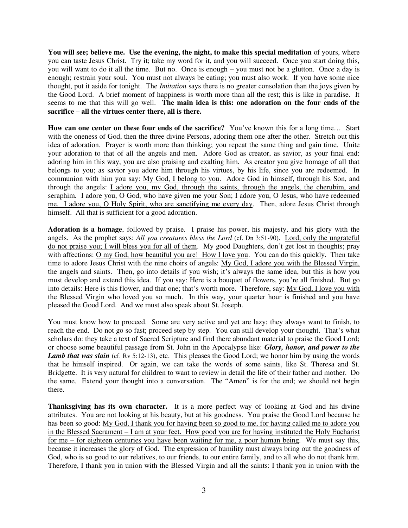**You will see; believe me. Use the evening, the night, to make this special meditation** of yours, where you can taste Jesus Christ. Try it; take my word for it, and you will succeed. Once you start doing this, you will want to do it all the time. But no. Once is enough – you must not be a glutton. Once a day is enough; restrain your soul. You must not always be eating; you must also work. If you have some nice thought, put it aside for tonight. The *Imitation* says there is no greater consolation than the joys given by the Good Lord. A brief moment of happiness is worth more than all the rest; this is like in paradise. It seems to me that this will go well. **The main idea is this: one adoration on the four ends of the sacrifice – all the virtues center there, all is there.** 

**How can one center on these four ends of the sacrifice?** You've known this for a long time… Start with the oneness of God, then the three divine Persons, adoring them one after the other. Stretch out this idea of adoration. Prayer is worth more than thinking; you repeat the same thing and gain time. Unite your adoration to that of all the angels and men. Adore God as creator, as savior, as your final end: adoring him in this way, you are also praising and exalting him. As creator you give homage of all that belongs to you; as savior you adore him through his virtues, by his life, since you are redeemed. In communion with him you say: My God, I belong to you. Adore God in himself, through his Son, and through the angels: I adore you, my God, through the saints, through the angels, the cherubim, and seraphim. I adore you, O God, who have given me your Son; I adore you, O Jesus, who have redeemed me. I adore you, O Holy Spirit, who are sanctifying me every day. Then, adore Jesus Christ through himself. All that is sufficient for a good adoration.

**Adoration is a homage**, followed by praise. I praise his power, his majesty, and his glory with the angels. As the prophet says: *All you creatures bless the Lord* (cf. Dn 3:51-90). Lord, only the ungrateful do not praise you; I will bless you for all of them. My good Daughters, don't get lost in thoughts; pray with affections: O my God, how beautiful you are! How I love you. You can do this quickly. Then take time to adore Jesus Christ with the nine choirs of angels: My God, I adore you with the Blessed Virgin, the angels and saints. Then, go into details if you wish; it's always the same idea, but this is how you must develop and extend this idea. If you say: Here is a bouquet of flowers, you're all finished. But go into details: Here is this flower, and that one; that's worth more. Therefore, say: My God, I love you with the Blessed Virgin who loved you so much. In this way, your quarter hour is finished and you have pleased the Good Lord. And we must also speak about St. Joseph.

You must know how to proceed. Some are very active and yet are lazy; they always want to finish, to reach the end. Do not go so fast; proceed step by step. You can still develop your thought. That's what scholars do: they take a text of Sacred Scripture and find there abundant material to praise the Good Lord; or choose some beautiful passage from St. John in the Apocalypse like: *Glory, honor, and power to the Lamb that was slain* (cf. Rv 5:12-13), etc. This pleases the Good Lord; we honor him by using the words that he himself inspired. Or again, we can take the words of some saints, like St. Theresa and St. Bridgette. It is very natural for children to want to review in detail the life of their father and mother. Do the same. Extend your thought into a conversation. The "Amen" is for the end; we should not begin there.

**Thanksgiving has its own character.** It is a more perfect way of looking at God and his divine attributes. You are not looking at his beauty, but at his goodness. You praise the Good Lord because he has been so good: My God, I thank you for having been so good to me, for having called me to adore you in the Blessed Sacrament – I am at your feet. How good you are for having instituted the Holy Eucharist for me – for eighteen centuries you have been waiting for me, a poor human being. We must say this, because it increases the glory of God. The expression of humility must always bring out the goodness of God, who is so good to our relatives, to our friends, to our entire family, and to all who do not thank him. Therefore, I thank you in union with the Blessed Virgin and all the saints: I thank you in union with the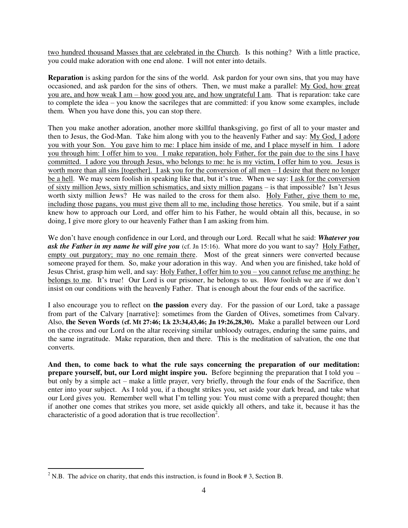two hundred thousand Masses that are celebrated in the Church. Is this nothing? With a little practice, you could make adoration with one end alone. I will not enter into details.

**Reparation** is asking pardon for the sins of the world. Ask pardon for your own sins, that you may have occasioned, and ask pardon for the sins of others. Then, we must make a parallel: My God, how great you are, and how weak I am – how good you are, and how ungrateful I am. That is reparation: take care to complete the idea – you know the sacrileges that are committed: if you know some examples, include them. When you have done this, you can stop there.

Then you make another adoration, another more skillful thanksgiving, go first of all to your master and then to Jesus, the God-Man. Take him along with you to the heavenly Father and say: My God, I adore you with your Son. You gave him to me: I place him inside of me, and I place myself in him. I adore you through him: I offer him to you. I make reparation, holy Father, for the pain due to the sins I have committed. I adore you through Jesus, who belongs to me: he is my victim, I offer him to you. Jesus is worth more than all sins [together]. I ask you for the conversion of all men – I desire that there no longer be a hell. We may seem foolish in speaking like that, but it's true. When we say: <u>I ask for the conversion</u> of sixty million Jews, sixty million schismatics, and sixty million pagans – is that impossible? Isn't Jesus worth sixty million Jews? He was nailed to the cross for them also. Holy Father, give them to me, including those pagans, you must give them all to me, including those heretics. You smile, but if a saint knew how to approach our Lord, and offer him to his Father, he would obtain all this, because, in so doing, I give more glory to our heavenly Father than I am asking from him.

We don't have enough confidence in our Lord, and through our Lord. Recall what he said: *Whatever you ask the Father in my name he will give you* (cf. Jn 15:16). What more do you want to say? Holy Father, empty out purgatory; may no one remain there. Most of the great sinners were converted because someone prayed for them. So, make your adoration in this way. And when you are finished, take hold of Jesus Christ, grasp him well, and say: Holy Father, I offer him to you – you cannot refuse me anything: he belongs to me. It's true! Our Lord is our prisoner, he belongs to us. How foolish we are if we don't insist on our conditions with the heavenly Father. That is enough about the four ends of the sacrifice.

I also encourage you to reflect on **the passion** every day. For the passion of our Lord, take a passage from part of the Calvary [narrative]: sometimes from the Garden of Olives, sometimes from Calvary. Also, **the Seven Words (cf. Mt 27:46; Lk 23:34,43,46; Jn 19:26,28,30).** Make a parallel between our Lord on the cross and our Lord on the altar receiving similar unbloody outrages, enduring the same pains, and the same ingratitude. Make reparation, then and there. This is the meditation of salvation, the one that converts.

And then, to come back to what the rule says concerning the preparation of our meditation: **prepare yourself, but, our Lord might inspire you.** Before beginning the preparation that I told you – but only by a simple act – make a little prayer, very briefly, through the four ends of the Sacrifice, then enter into your subject. As I told you, if a thought strikes you, set aside your dark bread, and take what our Lord gives you. Remember well what I'm telling you: You must come with a prepared thought; then if another one comes that strikes you more, set aside quickly all others, and take it, because it has the characteristic of a good adoration that is true recollection<sup>2</sup>.

 $\overline{a}$ 

<sup>&</sup>lt;sup>2</sup> N.B. The advice on charity, that ends this instruction, is found in Book #3, Section B.